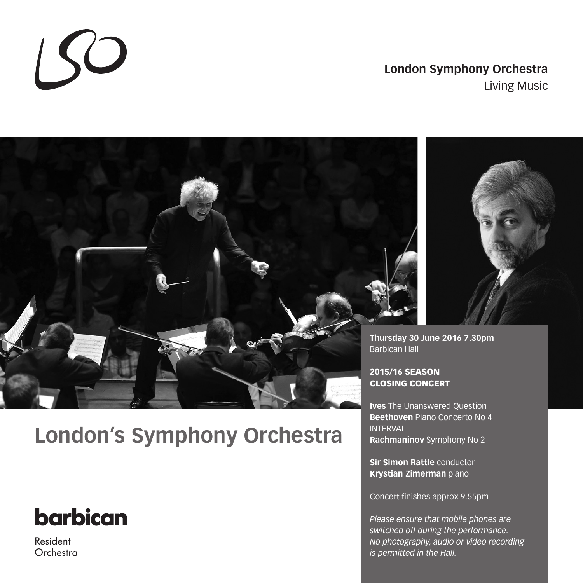# **London Symphony Orchestra** Living Music



# **London's Symphony Orchestra**

# **barbican**

 $150$ 

Resident Orchestra



**Thursday 30 June 2016 7.30pm** Barbican Hall

# 2015/16 SEASON CLOSING CONCERT

**Ives** The Unanswered Question **Beethoven** Piano Concerto No 4 INTERVAL **Rachmaninov** Symphony No 2

**Sir Simon Rattle** conductor **Krystian Zimerman** piano

Concert finishes approx 9.55pm

*Please ensure that mobile phones are switched off during the performance. No photography, audio or video recording is permitted in the Hall.*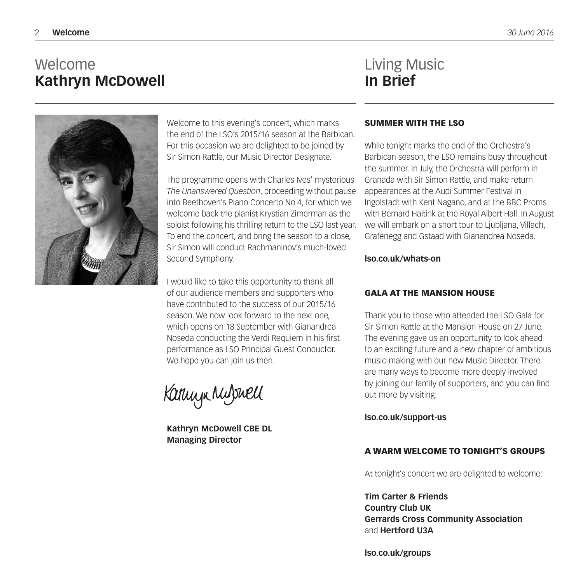# Welcome **Kathryn McDowell**



Welcome to this evening's concert, which marks the end of the LSO's 2015/16 season at the Barbican. For this occasion we are delighted to be joined by Sir Simon Rattle, our Music Director Designate.

The programme opens with Charles Ives' mysterious *The Unanswered Question*, proceeding without pause into Beethoven's Piano Concerto No 4, for which we welcome back the pianist Krystian Zimerman as the soloist following his thrilling return to the LSO last year. To end the concert, and bring the season to a close, Sir Simon will conduct Rachmaninov's much-loved Second Symphony.

I would like to take this opportunity to thank all of our audience members and supporters who have contributed to the success of our 2015/16 season. We now look forward to the next one. which opens on 18 September with Gianandrea Noseda conducting the Verdi Requiem in his first performance as LSO Principal Guest Conductor. We hope you can join us then.

Kannyn Nulswell

**Kathryn McDowell CBE DL Managing Director**

# Living Music **In Brief**

# SUMMER WITH THE LSO

While tonight marks the end of the Orchestra's Barbican season, the LSO remains busy throughout the summer. In July, the Orchestra will perform in Granada with Sir Simon Rattle, and make return appearances at the Audi Summer Festival in Ingolstadt with Kent Nagano, and at the BBC Proms with Bernard Haitink at the Royal Albert Hall. In August we will embark on a short tour to Ljubljana, Villach, Grafenegg and Gstaad with Gianandrea Noseda.

# **lso.co.uk/whats-on**

# GALA AT THE MANSION HOUSE

Thank you to those who attended the LSO Gala for Sir Simon Rattle at the Mansion House on 27 June. The evening gave us an opportunity to look ahead to an exciting future and a new chapter of ambitious music-making with our new Music Director. There are many ways to become more deeply involved by joining our family of supporters, and you can find out more by visiting:

**lso.co.uk/support-us**

# A WARM WELCOME TO TONIGHT'S GROUPS

At tonight's concert we are delighted to welcome:

**Tim Carter & Friends Country Club UK Gerrards Cross Community Association** and **Hertford U3A**

**lso.co.uk/groups**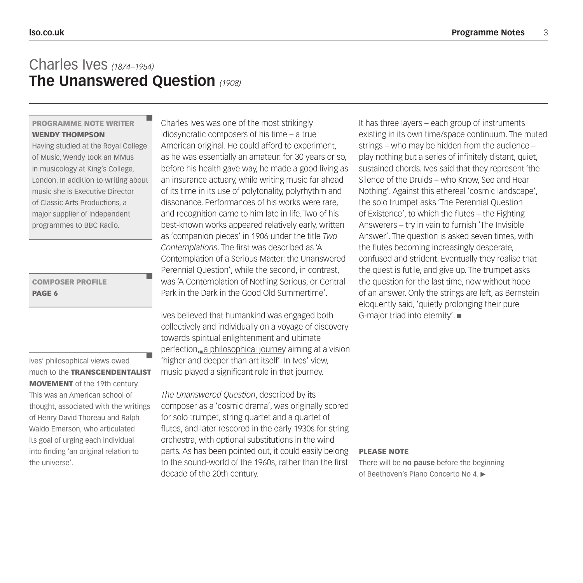# Charles Ives *(1874–1954)* **The Unanswered Question** *(1908)*

# PROGRAMME NOTE WRITER WENDY THOMPSON

Having studied at the Royal College of Music, Wendy took an MMus in musicology at King's College, London. In addition to writing about music she is Executive Director of Classic Arts Productions, a major supplier of independent programmes to BBC Radio.

# COMPOSER PROFILE PAGE 6

Ives' philosophical views owed much to the TRANSCENDENTALIST MOVEMENT of the 19th century. This was an American school of thought, associated with the writings of Henry David Thoreau and Ralph Waldo Emerson, who articulated its goal of urging each individual into finding 'an original relation to the universe'.

Charles Ives was one of the most strikingly idiosyncratic composers of his time – a true American original. He could afford to experiment, as he was essentially an amateur: for 30 years or so, before his health gave way, he made a good living as an insurance actuary, while writing music far ahead of its time in its use of polytonality, polyrhythm and dissonance. Performances of his works were rare, and recognition came to him late in life. Two of his best-known works appeared relatively early, written as 'companion pieces' in 1906 under the title *Two Contemplations*. The first was described as 'A Contemplation of a Serious Matter: the Unanswered Perennial Question', while the second, in contrast, was 'A Contemplation of Nothing Serious, or Central Park in the Dark in the Good Old Summertime'.

Ives believed that humankind was engaged both collectively and individually on a voyage of discovery towards spiritual enlightenment and ultimate perfection, a philosophical journey aiming at a vision 'higher and deeper than art itself'. In Ives' view, music played a significant role in that journey.

*The Unanswered Question*, described by its composer as a 'cosmic drama', was originally scored for solo trumpet, string quartet and a quartet of flutes, and later rescored in the early 1930s for string orchestra, with optional substitutions in the wind parts. As has been pointed out, it could easily belong to the sound-world of the 1960s, rather than the first decade of the 20th century.

It has three layers – each group of instruments existing in its own time/space continuum. The muted strings – who may be hidden from the audience – play nothing but a series of infinitely distant, quiet, sustained chords. Ives said that they represent 'the Silence of the Druids – who Know, See and Hear Nothing'. Against this ethereal 'cosmic landscape', the solo trumpet asks 'The Perennial Question of Existence', to which the flutes – the Fighting Answerers – try in vain to furnish 'The Invisible Answer'. The question is asked seven times, with the flutes becoming increasingly desperate, confused and strident. Eventually they realise that the quest is futile, and give up. The trumpet asks the question for the last time, now without hope of an answer. Only the strings are left, as Bernstein eloquently said, 'quietly prolonging their pure G-major triad into eternity'.

## PLEASE NOTE

There will be **no pause** before the beginning of Beethoven's Piano Concerto No 4.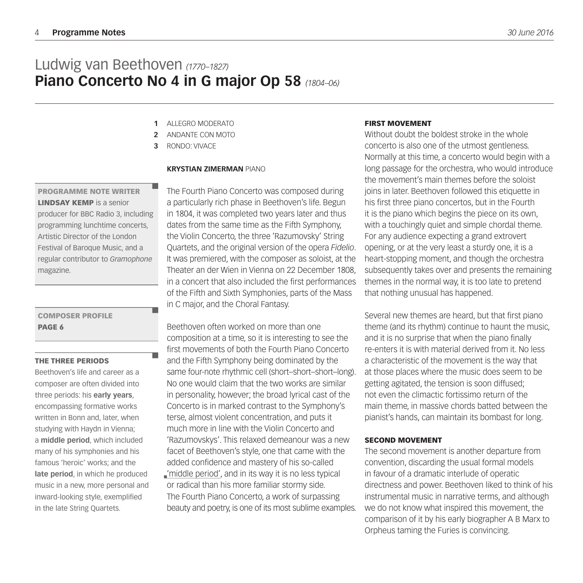# Ludwig van Beethoven *(1770–1827)* **Piano Concerto No 4 in G major Op 58** *(1804–06)*

- ALLEGRO MODERATO **1**
- ANDANTE CON MOTO **2**
- RONDO: VIVACE **3**

## **KRYSTIAN ZIMERMAN** PIANO

**LINDSAY KEMP** is a senior producer for BBC Radio 3, including programming lunchtime concerts, Artistic Director of the London

PROGRAMME NOTE WRITER

Festival of Baroque Music, and a regular contributor to *Gramophone* magazine.

# COMPOSER PROFILE PAGE 6

### THE THREE PERIODS

Beethoven's life and career as a composer are often divided into three periods: his **early years**, encompassing formative works written in Bonn and, later, when studying with Haydn in Vienna; a **middle period**, which included many of his symphonies and his famous 'heroic' works; and the **late period**, in which he produced music in a new, more personal and inward-looking style, exemplified in the late String Quartets.

The Fourth Piano Concerto was composed during a particularly rich phase in Beethoven's life. Begun in 1804, it was completed two years later and thus dates from the same time as the Fifth Symphony, the Violin Concerto, the three 'Razumovsky' String Quartets, and the original version of the opera *Fidelio*. It was premiered, with the composer as soloist, at the Theater an der Wien in Vienna on 22 December 1808, in a concert that also included the first performances of the Fifth and Sixth Symphonies, parts of the Mass in C major, and the Choral Fantasy.

Beethoven often worked on more than one composition at a time, so it is interesting to see the first movements of both the Fourth Piano Concerto and the Fifth Symphony being dominated by the same four-note rhythmic cell (short–short–short–long). No one would claim that the two works are similar in personality, however; the broad lyrical cast of the Concerto is in marked contrast to the Symphony's terse, almost violent concentration, and puts it much more in line with the Violin Concerto and 'Razumovskys'. This relaxed demeanour was a new facet of Beethoven's style, one that came with the added confidence and mastery of his so-called 'middle period', and in its way it is no less typical or radical than his more familiar stormy side. The Fourth Piano Concerto, a work of surpassing beauty and poetry, is one of its most sublime examples.

## FIRST MOVEMENT

Without doubt the boldest stroke in the whole concerto is also one of the utmost gentleness. Normally at this time, a concerto would begin with a long passage for the orchestra, who would introduce the movement's main themes before the soloist joins in later. Beethoven followed this etiquette in his first three piano concertos, but in the Fourth it is the piano which begins the piece on its own, with a touchingly quiet and simple chordal theme. For any audience expecting a grand extrovert opening, or at the very least a sturdy one, it is a heart-stopping moment, and though the orchestra subsequently takes over and presents the remaining themes in the normal way, it is too late to pretend that nothing unusual has happened.

Several new themes are heard, but that first piano theme (and its rhythm) continue to haunt the music, and it is no surprise that when the piano finally re-enters it is with material derived from it. No less a characteristic of the movement is the way that at those places where the music does seem to be getting agitated, the tension is soon diffused; not even the climactic fortissimo return of the main theme, in massive chords batted between the pianist's hands, can maintain its bombast for long.

## SECOND MOVEMENT

The second movement is another departure from convention, discarding the usual formal models in favour of a dramatic interlude of operatic directness and power. Beethoven liked to think of his instrumental music in narrative terms, and although we do not know what inspired this movement, the comparison of it by his early biographer A B Marx to Orpheus taming the Furies is convincing.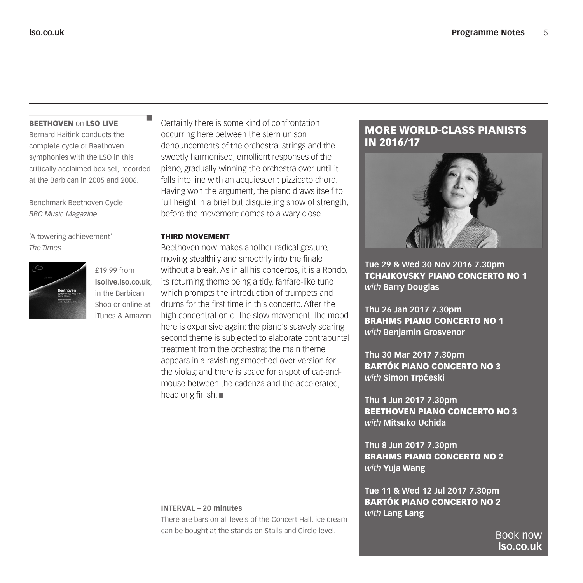### **BEETHOVEN on LSO LIVE**

Bernard Haitink conducts the complete cycle of Beethoven symphonies with the LSO in this critically acclaimed box set, recorded at the Barbican in 2005 and 2006.

Benchmark Beethoven Cycle *BBC Music Magazine*

'A towering achievement' *The Times*



£19.99 from **lsolive.lso.co.uk**, in the Barbican Shop or online at iTunes & Amazon Certainly there is some kind of confrontation occurring here between the stern unison denouncements of the orchestral strings and the sweetly harmonised, emollient responses of the piano, gradually winning the orchestra over until it falls into line with an acquiescent pizzicato chord. Having won the argument, the piano draws itself to full height in a brief but disquieting show of strength, before the movement comes to a wary close.

## THIRD MOVEMENT

Beethoven now makes another radical gesture, moving stealthily and smoothly into the finale without a break. As in all his concertos, it is a Rondo, its returning theme being a tidy, fanfare-like tune which prompts the introduction of trumpets and drums for the first time in this concerto. After the high concentration of the slow movement, the mood here is expansive again: the piano's suavely soaring second theme is subjected to elaborate contrapuntal treatment from the orchestra; the main theme appears in a ravishing smoothed-over version for the violas; and there is space for a spot of cat-andmouse between the cadenza and the accelerated, headlong finish.

# MORE WORLD-CLASS PIANISTS IN 2016/17



**Tue 29 & Wed 30 Nov 2016 7.30pm** TCHAIKOVSKY PIANO CONCERTO NO 1 *with* **Barry Douglas**

**Thu 26 Jan 2017 7.30pm** BRAHMS PIANO CONCERTO NO 1 *with* **Benjamin Grosvenor**

**Thu 30 Mar 2017 7.30pm** BARTÓK PIANO CONCERTO NO 3 *with Simon Trpčeski* 

**Thu 1 Jun 2017 7.30pm** BEETHOVEN PIANO CONCERTO NO 3 *with* **Mitsuko Uchida**

**Thu 8 Jun 2017 7.30pm** BRAHMS PIANO CONCERTO NO 2 *with* **Yuja Wang**

**Tue 11 & Wed 12 Jul 2017 7.30pm** BARTÓK PIANO CONCERTO NO 2 *with* **Lang Lang**

> Book now **lso.co.uk**

## **INTERVAL – 20 minutes**

There are bars on all levels of the Concert Hall; ice cream can be bought at the stands on Stalls and Circle level.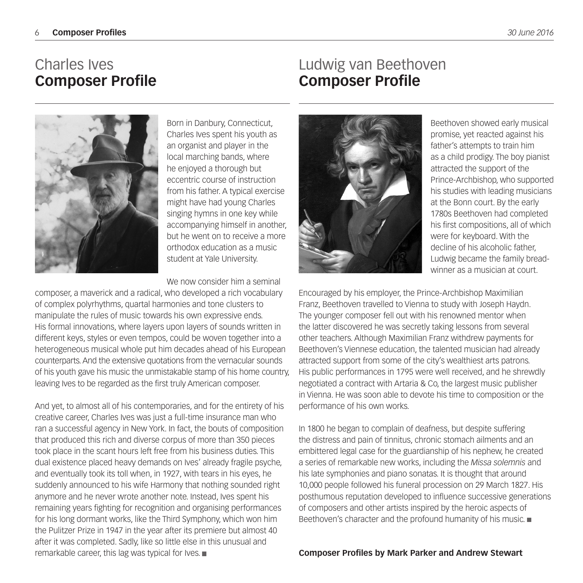# Charles Ives **Composer Profile**

# Ludwig van Beethoven **Composer Profile**



Born in Danbury, Connecticut, Charles Ives spent his youth as an organist and player in the local marching bands, where he enjoyed a thorough but eccentric course of instruction from his father. A typical exercise might have had young Charles singing hymns in one key while accompanying himself in another, but he went on to receive a more orthodox education as a music student at Yale University.

We now consider him a seminal

composer, a maverick and a radical, who developed a rich vocabulary of complex polyrhythms, quartal harmonies and tone clusters to manipulate the rules of music towards his own expressive ends. His formal innovations, where layers upon layers of sounds written in different keys, styles or even tempos, could be woven together into a heterogeneous musical whole put him decades ahead of his European counterparts. And the extensive quotations from the vernacular sounds of his youth gave his music the unmistakable stamp of his home country, leaving Ives to be regarded as the first truly American composer.

And yet, to almost all of his contemporaries, and for the entirety of his creative career, Charles Ives was just a full-time insurance man who ran a successful agency in New York. In fact, the bouts of composition that produced this rich and diverse corpus of more than 350 pieces took place in the scant hours left free from his business duties. This dual existence placed heavy demands on Ives' already fragile psyche, and eventually took its toll when, in 1927, with tears in his eyes, he suddenly announced to his wife Harmony that nothing sounded right anymore and he never wrote another note. Instead, Ives spent his remaining years fighting for recognition and organising performances for his long dormant works, like the Third Symphony, which won him the Pulitzer Prize in 1947 in the year after its premiere but almost 40 after it was completed. Sadly, like so little else in this unusual and remarkable career, this lag was typical for Ives.



Beethoven showed early musical promise, yet reacted against his father's attempts to train him as a child prodigy. The boy pianist attracted the support of the Prince-Archbishop, who supported his studies with leading musicians at the Bonn court. By the early 1780s Beethoven had completed his first compositions, all of which were for keyboard. With the decline of his alcoholic father, Ludwig became the family breadwinner as a musician at court.

Encouraged by his employer, the Prince-Archbishop Maximilian Franz, Beethoven travelled to Vienna to study with Joseph Haydn. The younger composer fell out with his renowned mentor when the latter discovered he was secretly taking lessons from several other teachers. Although Maximilian Franz withdrew payments for Beethoven's Viennese education, the talented musician had already attracted support from some of the city's wealthiest arts patrons. His public performances in 1795 were well received, and he shrewdly negotiated a contract with Artaria & Co, the largest music publisher in Vienna. He was soon able to devote his time to composition or the performance of his own works.

In 1800 he began to complain of deafness, but despite suffering the distress and pain of tinnitus, chronic stomach ailments and an embittered legal case for the guardianship of his nephew, he created a series of remarkable new works, including the *Missa solemnis* and his late symphonies and piano sonatas. It is thought that around 10,000 people followed his funeral procession on 29 March 1827. His posthumous reputation developed to influence successive generations of composers and other artists inspired by the heroic aspects of Beethoven's character and the profound humanity of his music.

**Composer Profiles by Mark Parker and Andrew Stewart**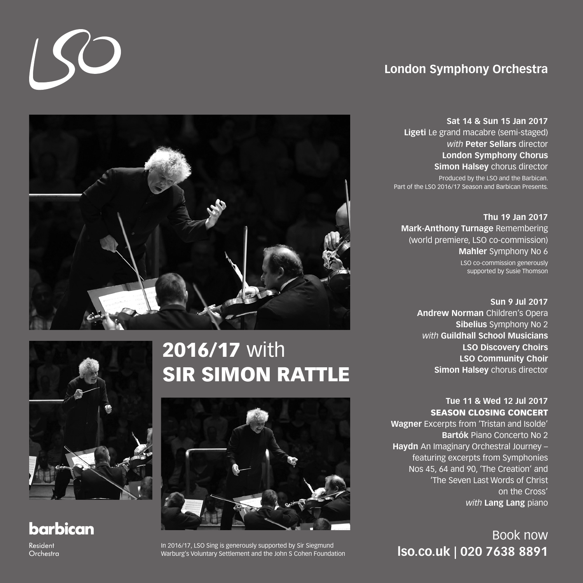# **London Symphony Orchestra**

**Sat 14 & Sun 15 Jan 2017 Ligeti** Le grand macabre (semi-staged) *with* **Peter Sellars** director **London Symphony Chorus Simon Halsey** chorus director Produced by the LSO and the Barbican. Part of the LSO 2016/17 Season and Barbican Presents.

**Thu 19 Jan 2017 Mark-Anthony Turnage** Remembering (world premiere, LSO co-commission) **Mahler** Symphony No 6 LSO co-commission generously supported by Susie Thomson

> **Sun 9 Jul 2017 Andrew Norman** Children's Opera **Sibelius** Symphony No 2 *with* **Guildhall School Musicians LSO Discovery Choirs LSO Community Choir Simon Halsey** chorus director

**Tue 11 & Wed 12 Jul 2017** SEASON CLOSING CONCERT **Wagner** Excerpts from 'Tristan and Isolde' **Bartók** Piano Concerto No 2

**Haydn** An Imaginary Orchestral Journey – featuring excerpts from Symphonies Nos 45, 64 and 90, 'The Creation' and 'The Seven Last Words of Christ on the Cross' *with* **Lang Lang** piano

Book now



# 2016/17 with **SIR SIMON RATTLE**



In 2016/17, LSO Sing is generously supported by Sir Siegmund<br>Warburg's Voluntary Settlement and the John S Cohen Foundation<br> **ISO.CO.UK | 020 7638 8891** Warburg's Voluntary Settlement and the John S Cohen Foundation



 $\overline{150}$ 

# **barbican**

Resident Orchestra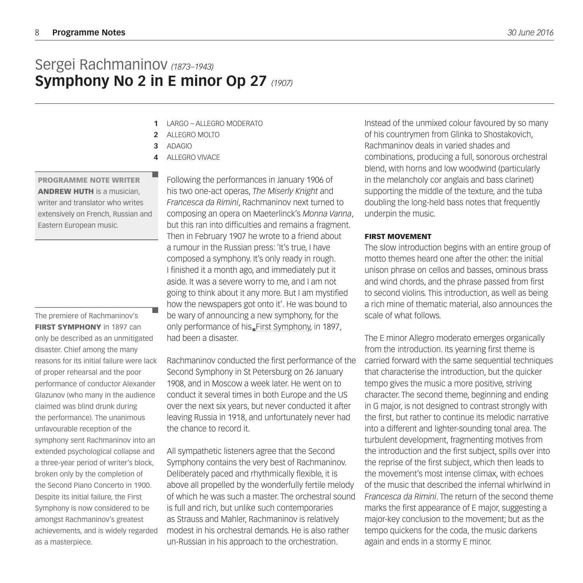# Sergei Rachmaninov *(1873–1943)* **Symphony No 2 in E minor Op 27** *(1907)*

- **1** LARGO – ALLEGRO MODERATO
- **2** ALLEGRO MOLTO
- **3** ADAGIO
- **4** ALLEGRO VIVACE

PROGRAMME NOTE WRITER ANDREW HUTH is a musician, writer and translator who writes extensively on French, Russian and Eastern European music.

The premiere of Rachmaninov's **FIRST SYMPHONY** in 1897 can only be described as an unmitigated disaster. Chief among the many reasons for its initial failure were lack of proper rehearsal and the poor performance of conductor Alexander Glazunov (who many in the audience claimed was blind drunk during the performance). The unanimous unfavourable reception of the symphony sent Rachmaninov into an extended psychological collapse and a three-year period of writer's block, broken only by the completion of the Second Piano Concerto in 1900. Despite its initial failure, the First Symphony is now considered to be amongst Rachmaninov's greatest achievements, and is widely regarded as a masterpiece.

Following the performances in January 1906 of his two one-act operas, *The Miserly Knight* and *Francesca da Rimini*, Rachmaninov next turned to composing an opera on Maeterlinck's *Monna Vanna*, but this ran into difficulties and remains a fragment. Then in February 1907 he wrote to a friend about a rumour in the Russian press: 'It's true, I have composed a symphony. It's only ready in rough. I finished it a month ago, and immediately put it aside. It was a severe worry to me, and I am not going to think about it any more. But I am mystified how the newspapers got onto it'. He was bound to be wary of announcing a new symphony, for the only performance of his First Symphony, in 1897, had been a disaster.

Rachmaninov conducted the first performance of the Second Symphony in St Petersburg on 26 January 1908, and in Moscow a week later. He went on to conduct it several times in both Europe and the US over the next six years, but never conducted it after leaving Russia in 1918, and unfortunately never had the chance to record it.

All sympathetic listeners agree that the Second Symphony contains the very best of Rachmaninov. Deliberately paced and rhythmically flexible, it is above all propelled by the wonderfully fertile melody of which he was such a master. The orchestral sound is full and rich, but unlike such contemporaries as Strauss and Mahler, Rachmaninov is relatively modest in his orchestral demands. He is also rather un-Russian in his approach to the orchestration.

Instead of the unmixed colour favoured by so many of his countrymen from Glinka to Shostakovich, Rachmaninov deals in varied shades and combinations, producing a full, sonorous orchestral blend, with horns and low woodwind (particularly in the melancholy cor anglais and bass clarinet) supporting the middle of the texture, and the tuba doubling the long-held bass notes that frequently underpin the music.

## FIRST MOVEMENT

The slow introduction begins with an entire group of motto themes heard one after the other: the initial unison phrase on cellos and basses, ominous brass and wind chords, and the phrase passed from first to second violins. This introduction, as well as being a rich mine of thematic material, also announces the scale of what follows.

The E minor Allegro moderato emerges organically from the introduction. Its yearning first theme is carried forward with the same sequential techniques that characterise the introduction, but the quicker tempo gives the music a more positive, striving character. The second theme, beginning and ending in G major, is not designed to contrast strongly with the first, but rather to continue its melodic narrative into a different and lighter-sounding tonal area. The turbulent development, fragmenting motives from the introduction and the first subject, spills over into the reprise of the first subject, which then leads to the movement's most intense climax, with echoes of the music that described the infernal whirlwind in *Francesca da Rimini*. The return of the second theme marks the first appearance of E major, suggesting a major-key conclusion to the movement; but as the tempo quickens for the coda, the music darkens again and ends in a stormy E minor.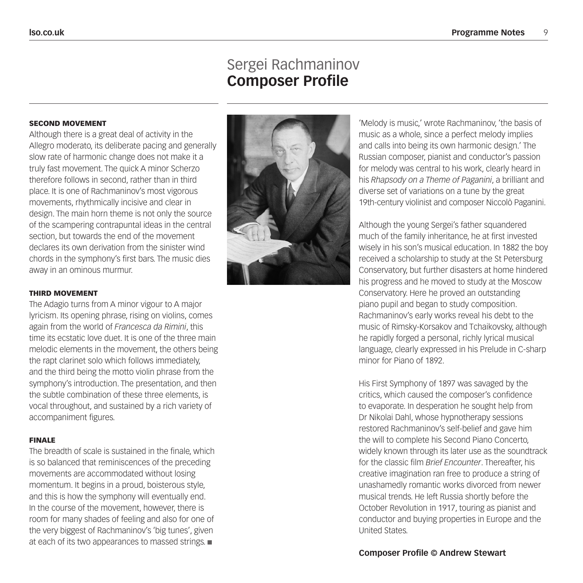# Sergei Rachmaninov **Composer Profile**

## SECOND MOVEMENT

Although there is a great deal of activity in the Allegro moderato, its deliberate pacing and generally slow rate of harmonic change does not make it a truly fast movement. The quick A minor Scherzo therefore follows in second, rather than in third place. It is one of Rachmaninov's most vigorous movements, rhythmically incisive and clear in design. The main horn theme is not only the source of the scampering contrapuntal ideas in the central section, but towards the end of the movement declares its own derivation from the sinister wind chords in the symphony's first bars. The music dies away in an ominous murmur.

### THIRD MOVEMENT

The Adagio turns from A minor vigour to A major lyricism. Its opening phrase, rising on violins, comes again from the world of *Francesca da Rimini*, this time its ecstatic love duet. It is one of the three main melodic elements in the movement, the others being the rapt clarinet solo which follows immediately, and the third being the motto violin phrase from the symphony's introduction. The presentation, and then the subtle combination of these three elements, is vocal throughout, and sustained by a rich variety of accompaniment figures.

### FINALE

The breadth of scale is sustained in the finale, which is so balanced that reminiscences of the preceding movements are accommodated without losing momentum. It begins in a proud, boisterous style, and this is how the symphony will eventually end. In the course of the movement, however, there is room for many shades of feeling and also for one of the very biggest of Rachmaninov's 'big tunes', given at each of its two appearances to massed strings.



'Melody is music,' wrote Rachmaninov, 'the basis of music as a whole, since a perfect melody implies and calls into being its own harmonic design.' The Russian composer, pianist and conductor's passion for melody was central to his work, clearly heard in his *Rhapsody on a Theme of Paganini*, a brilliant and diverse set of variations on a tune by the great 19th-century violinist and composer Niccolò Paganini.

Although the young Sergei's father squandered much of the family inheritance, he at first invested wisely in his son's musical education. In 1882 the boy received a scholarship to study at the St Petersburg Conservatory, but further disasters at home hindered his progress and he moved to study at the Moscow Conservatory. Here he proved an outstanding piano pupil and began to study composition. Rachmaninov's early works reveal his debt to the music of Rimsky-Korsakov and Tchaikovsky, although he rapidly forged a personal, richly lyrical musical language, clearly expressed in his Prelude in C-sharp minor for Piano of 1892.

His First Symphony of 1897 was savaged by the critics, which caused the composer's confidence to evaporate. In desperation he sought help from Dr Nikolai Dahl, whose hypnotherapy sessions restored Rachmaninov's self-belief and gave him the will to complete his Second Piano Concerto, widely known through its later use as the soundtrack for the classic film *Brief Encounter*. Thereafter, his creative imagination ran free to produce a string of unashamedly romantic works divorced from newer musical trends. He left Russia shortly before the October Revolution in 1917, touring as pianist and conductor and buying properties in Europe and the United States.

**Composer Profile © Andrew Stewart**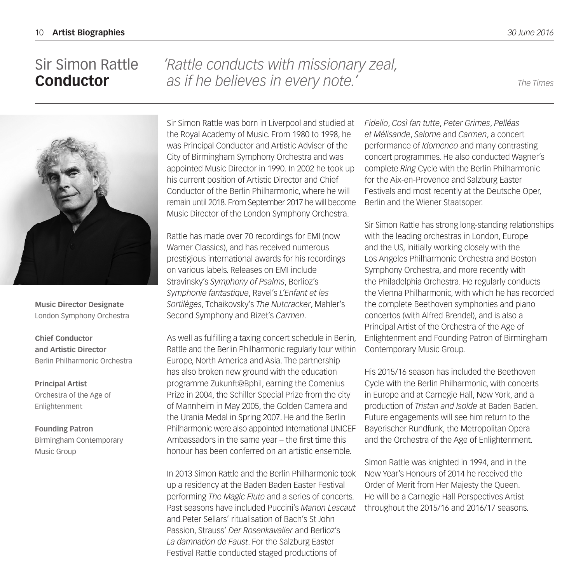**Conductor**

Sir Simon Rattle

# *'Rattle conducts with missionary zeal, as if he believes in every note.' The Times*



**Music Director Designate** London Symphony Orchestra

**Chief Conductor and Artistic Director** Berlin Philharmonic Orchestra

**Principal Artist** Orchestra of the Age of Enlightenment

**Founding Patron** Birmingham Contemporary Music Group

Sir Simon Rattle was born in Liverpool and studied at the Royal Academy of Music. From 1980 to 1998, he was Principal Conductor and Artistic Adviser of the City of Birmingham Symphony Orchestra and was appointed Music Director in 1990. In 2002 he took up his current position of Artistic Director and Chief Conductor of the Berlin Philharmonic, where he will remain until 2018. From September 2017 he will become Music Director of the London Symphony Orchestra.

Rattle has made over 70 recordings for EMI (now Warner Classics), and has received numerous prestigious international awards for his recordings on various labels. Releases on EMI include Stravinsky's *Symphony of Psalms*, Berlioz's *Symphonie fantastique*, Ravel's *L'Enfant et les Sortilèges*, Tchaikovsky's *The Nutcracker*, Mahler's Second Symphony and Bizet's *Carmen*.

As well as fulfilling a taxing concert schedule in Berlin, Rattle and the Berlin Philharmonic regularly tour within Europe, North America and Asia. The partnership has also broken new ground with the education programme Zukunft@Bphil, earning the Comenius Prize in 2004, the Schiller Special Prize from the city of Mannheim in May 2005, the Golden Camera and the Urania Medal in Spring 2007. He and the Berlin Philharmonic were also appointed International UNICEF Ambassadors in the same year – the first time this honour has been conferred on an artistic ensemble.

In 2013 Simon Rattle and the Berlin Philharmonic took up a residency at the Baden Baden Easter Festival performing *The Magic Flute* and a series of concerts. Past seasons have included Puccini's *Manon Lescaut* and Peter Sellars' ritualisation of Bach's St John Passion, Strauss' *Der Rosenkavalier* and Berlioz's *La damnation de Faust*. For the Salzburg Easter Festival Rattle conducted staged productions of

*Fidelio*, *Così fan tutte*, *Peter Grimes*, *Pelléas et Mélisande*, *Salome* and *Carmen*, a concert performance of *Idomeneo* and many contrasting concert programmes. He also conducted Wagner's complete *Ring* Cycle with the Berlin Philharmonic for the Aix-en-Provence and Salzburg Easter Festivals and most recently at the Deutsche Oper, Berlin and the Wiener Staatsoper.

Sir Simon Rattle has strong long-standing relationships with the leading orchestras in London, Europe and the US, initially working closely with the Los Angeles Philharmonic Orchestra and Boston Symphony Orchestra, and more recently with the Philadelphia Orchestra. He regularly conducts the Vienna Philharmonic, with which he has recorded the complete Beethoven symphonies and piano concertos (with Alfred Brendel), and is also a Principal Artist of the Orchestra of the Age of Enlightenment and Founding Patron of Birmingham Contemporary Music Group.

His 2015/16 season has included the Beethoven Cycle with the Berlin Philharmonic, with concerts in Europe and at Carnegie Hall, New York, and a production of *Tristan and Isolde* at Baden Baden. Future engagements will see him return to the Bayerischer Rundfunk, the Metropolitan Opera and the Orchestra of the Age of Enlightenment.

Simon Rattle was knighted in 1994, and in the New Year's Honours of 2014 he received the Order of Merit from Her Majesty the Queen. He will be a Carnegie Hall Perspectives Artist throughout the 2015/16 and 2016/17 seasons.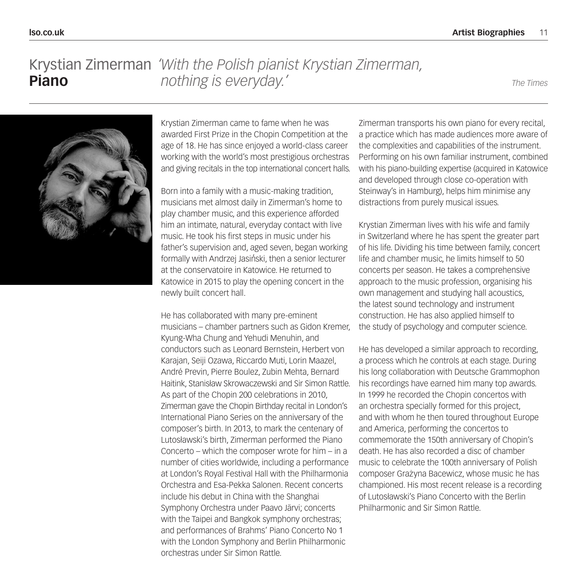# Krystian Zimerman *'With the Polish pianist Krystian Zimerman,* **Piano** *nothing is everyday.' The Times*



Krystian Zimerman came to fame when he was awarded First Prize in the Chopin Competition at the age of 18. He has since enjoyed a world-class career working with the world's most prestigious orchestras and giving recitals in the top international concert halls.

Born into a family with a music-making tradition, musicians met almost daily in Zimerman's home to play chamber music, and this experience afforded him an intimate, natural, everyday contact with live music. He took his first steps in music under his father's supervision and, aged seven, began working formally with Andrzej Jasiński, then a senior lecturer at the conservatoire in Katowice. He returned to Katowice in 2015 to play the opening concert in the newly built concert hall.

He has collaborated with many pre-eminent musicians – chamber partners such as Gidon Kremer, Kyung-Wha Chung and Yehudi Menuhin, and conductors such as Leonard Bernstein, Herbert von Karajan, Seiji Ozawa, Riccardo Muti, Lorin Maazel, André Previn, Pierre Boulez, Zubin Mehta, Bernard Haitink, Stanisław Skrowaczewski and Sir Simon Rattle. As part of the Chopin 200 celebrations in 2010, Zimerman gave the Chopin Birthday recital in London's International Piano Series on the anniversary of the composer's birth. In 2013, to mark the centenary of Lutosławski's birth, Zimerman performed the Piano Concerto – which the composer wrote for him – in a number of cities worldwide, including a performance at London's Royal Festival Hall with the Philharmonia Orchestra and Esa-Pekka Salonen. Recent concerts include his debut in China with the Shanghai Symphony Orchestra under Paavo Järvi; concerts with the Taipei and Bangkok symphony orchestras; and performances of Brahms' Piano Concerto No 1 with the London Symphony and Berlin Philharmonic orchestras under Sir Simon Rattle.

Zimerman transports his own piano for every recital, a practice which has made audiences more aware of the complexities and capabilities of the instrument. Performing on his own familiar instrument, combined with his piano-building expertise (acquired in Katowice and developed through close co-operation with Steinway's in Hamburg), helps him minimise any distractions from purely musical issues.

Krystian Zimerman lives with his wife and family in Switzerland where he has spent the greater part of his life. Dividing his time between family, concert life and chamber music, he limits himself to 50 concerts per season. He takes a comprehensive approach to the music profession, organising his own management and studying hall acoustics, the latest sound technology and instrument construction. He has also applied himself to the study of psychology and computer science.

He has developed a similar approach to recording, a process which he controls at each stage. During his long collaboration with Deutsche Grammophon his recordings have earned him many top awards. In 1999 he recorded the Chopin concertos with an orchestra specially formed for this project, and with whom he then toured throughout Europe and America, performing the concertos to commemorate the 150th anniversary of Chopin's death. He has also recorded a disc of chamber music to celebrate the 100th anniversary of Polish composer Grażyna Bacewicz, whose music he has championed. His most recent release is a recording of Lutosławski's Piano Concerto with the Berlin Philharmonic and Sir Simon Rattle.